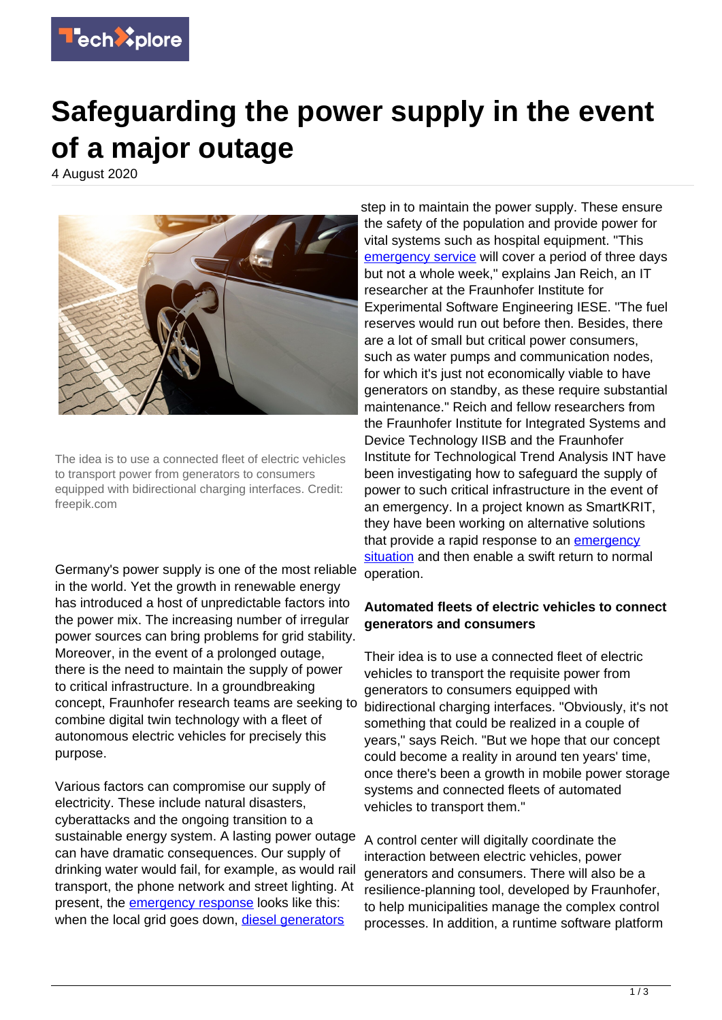

## **Safeguarding the power supply in the event of a major outage**

4 August 2020



The idea is to use a connected fleet of electric vehicles to transport power from generators to consumers equipped with bidirectional charging interfaces. Credit: freepik.com

Germany's power supply is one of the most reliable in the world. Yet the growth in renewable energy has introduced a host of unpredictable factors into the power mix. The increasing number of irregular power sources can bring problems for grid stability. Moreover, in the event of a prolonged outage, there is the need to maintain the supply of power to critical infrastructure. In a groundbreaking concept, Fraunhofer research teams are seeking to combine digital twin technology with a fleet of autonomous electric vehicles for precisely this purpose.

Various factors can compromise our supply of electricity. These include natural disasters, cyberattacks and the ongoing transition to a sustainable energy system. A lasting power outage can have dramatic consequences. Our supply of drinking water would fail, for example, as would rail transport, the phone network and street lighting. At present, the *[emergency response](https://techxplore.com/tags/emergency+response/)* looks like this: when the local grid goes down, [diesel generators](https://techxplore.com/tags/diesel+generators/)

step in to maintain the power supply. These ensure the safety of the population and provide power for vital systems such as hospital equipment. "This [emergency service](https://techxplore.com/tags/emergency+service/) will cover a period of three days but not a whole week," explains Jan Reich, an IT researcher at the Fraunhofer Institute for Experimental Software Engineering IESE. "The fuel reserves would run out before then. Besides, there are a lot of small but critical power consumers, such as water pumps and communication nodes, for which it's just not economically viable to have generators on standby, as these require substantial maintenance." Reich and fellow researchers from the Fraunhofer Institute for Integrated Systems and Device Technology IISB and the Fraunhofer Institute for Technological Trend Analysis INT have been investigating how to safeguard the supply of power to such critical infrastructure in the event of an emergency. In a project known as SmartKRIT, they have been working on alternative solutions that provide a rapid response to an [emergency](https://techxplore.com/tags/emergency+situation/) [situation](https://techxplore.com/tags/emergency+situation/) and then enable a swift return to normal operation.

## **Automated fleets of electric vehicles to connect generators and consumers**

Their idea is to use a connected fleet of electric vehicles to transport the requisite power from generators to consumers equipped with bidirectional charging interfaces. "Obviously, it's not something that could be realized in a couple of years," says Reich. "But we hope that our concept could become a reality in around ten years' time, once there's been a growth in mobile power storage systems and connected fleets of automated vehicles to transport them."

A control center will digitally coordinate the interaction between electric vehicles, power generators and consumers. There will also be a resilience-planning tool, developed by Fraunhofer, to help municipalities manage the complex control processes. In addition, a runtime software platform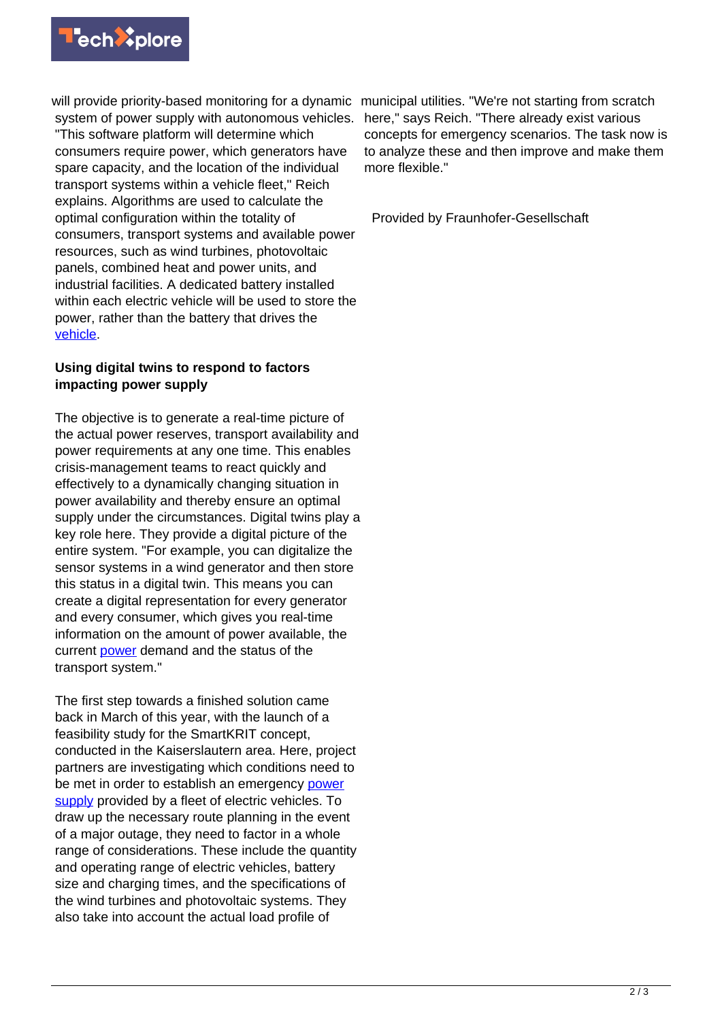

will provide priority-based monitoring for a dynamic municipal utilities. "We're not starting from scratch system of power supply with autonomous vehicles.

"This software platform will determine which consumers require power, which generators have spare capacity, and the location of the individual transport systems within a vehicle fleet," Reich explains. Algorithms are used to calculate the optimal configuration within the totality of consumers, transport systems and available power resources, such as wind turbines, photovoltaic panels, combined heat and power units, and industrial facilities. A dedicated battery installed within each electric vehicle will be used to store the power, rather than the battery that drives the [vehicle.](https://techxplore.com/tags/vehicle/)

## **Using digital twins to respond to factors impacting power supply**

The objective is to generate a real-time picture of the actual power reserves, transport availability and power requirements at any one time. This enables crisis-management teams to react quickly and effectively to a dynamically changing situation in power availability and thereby ensure an optimal supply under the circumstances. Digital twins play a key role here. They provide a digital picture of the entire system. "For example, you can digitalize the sensor systems in a wind generator and then store this status in a digital twin. This means you can create a digital representation for every generator and every consumer, which gives you real-time information on the amount of power available, the current [power](https://techxplore.com/tags/power/) demand and the status of the transport system."

The first step towards a finished solution came back in March of this year, with the launch of a feasibility study for the SmartKRIT concept, conducted in the Kaiserslautern area. Here, project partners are investigating which conditions need to be met in order to establish an emergency [power](https://techxplore.com/tags/power+supply/) [supply](https://techxplore.com/tags/power+supply/) provided by a fleet of electric vehicles. To draw up the necessary route planning in the event of a major outage, they need to factor in a whole range of considerations. These include the quantity and operating range of electric vehicles, battery size and charging times, and the specifications of the wind turbines and photovoltaic systems. They also take into account the actual load profile of

here," says Reich. "There already exist various concepts for emergency scenarios. The task now is to analyze these and then improve and make them more flexible."

Provided by Fraunhofer-Gesellschaft